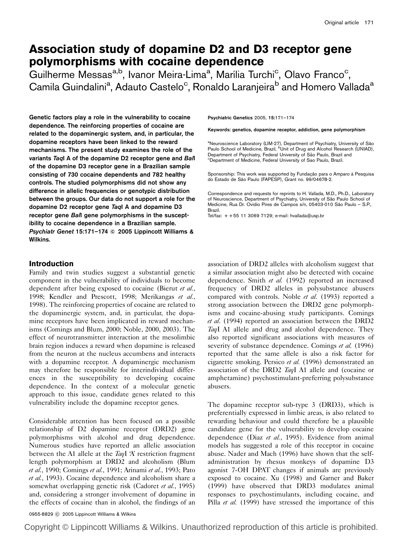# Association study of dopamine D2 and D3 receptor gene polymorphisms with cocaine dependence

Guilherme Messas<sup>a,b</sup>, Ivanor Meira-Lima<sup>a</sup>, Marília Turchi<sup>c</sup>, Olavo Franco<sup>c</sup>, Camila Guindalini<sup>a</sup>, Adauto Castelo<sup>c</sup>, Ronaldo Laranjeira<sup>b</sup> and Homero Vallada<sup>a</sup>

Genetic factors play a role in the vulnerability to cocaine dependence. The reinforcing properties of cocaine are related to the dopaminergic system, and, in particular, the dopamine receptors have been linked to the reward mechanisms. The present study examines the role of the variants TaqI A of the dopamine D2 receptor gene and BalI of the dopamine D3 receptor gene in a Brazilian sample consisting of 730 cocaine dependents and 782 healthy controls. The studied polymorphisms did not show any difference in allelic frequencies or genotypic distribution between the groups. Our data do not support a role for the dopamine D2 receptor gene TaqI A and dopamine D3 receptor gene BalI gene polymorphisms in the susceptibility to cocaine dependence in a Brazilian sample. Psychiatr Genet 15:171-174 © 2005 Lippincott Williams & Wilkins.

#### Introduction

Family and twin studies suggest a substantial genetic component in the vulnerability of individuals to become dependent after being exposed to cocaine (Bierut et al., 1998; Kendler and Prescott, 1998; Merikangas et al., 1998). The reinforcing properties of cocaine are related to the dopaminergic system, and, in particular, the dopamine receptors have been implicated in reward mechanisms (Comings and Blum, 2000; Noble, 2000, 2003). The effect of neurotransmitter interaction at the mesolimbic brain region induces a reward when dopamine is released from the neuron at the nucleus accumbens and interacts with a dopamine receptor. A dopaminergic mechanism may therefore be responsible for interindividual differences in the susceptibility to developing cocaine dependence. In the context of a molecular genetic approach to this issue, candidate genes related to this vulnerability include the dopamine receptor genes.

Considerable attention has been focused on a possible relationship of D2 dopamine receptor (DRD2) gene polymorphisms with alcohol and drug dependence. Numerous studies have reported an allelic association between the A1 allele at the TaqI 'A' restriction fragment length polymorphism at DRD2 and alcoholism (Blum et al., 1990; Comings et al., 1991; Arinami et al., 1993; Pato et al., 1993). Cocaine dependence and alcoholism share a somewhat overlapping genetic risk (Cadoret et al., 1995) and, considering a stronger involvement of dopamine in the effects of cocaine than in alcohol, the findings of an

Psychiatric Genetics 2005, 15:171–174

Keywords: genetics, dopamine receptor, addiction, gene polymorphism

<sup>a</sup>Neuroscience Laboratory (LIM-27), Department of Psychiatry, University of São<br>Paulo School of Medicine, Brazil, <sup>b</sup>Unit of Drug and Alcohol Research (UNIAD), Department of Psychiatry, Federal University of São Paulo, Brazil and Department of Medicine, Federal University of Sao Paulo, Brazil.

Sponsorship: This work was supported by Fundação para o Amparo à Pesquisa do Estado de São Paulo (FAPESP), Grant no. 99/04678-2.

Correspondence and requests for reprints to H. Vallada, M.D., Ph.D., Laboratory of Neuroscience, Department of Psychiatry, University of São Paulo School of Medicine, Rua Dr. Ovídio Pires de Campos s/n, 05403-010 São Paulo - S.P., Brazil.

Tel/fax: + + 55 11 3069 7129; e-mail: hvallada@usp.br

association of DRD2 alleles with alcoholism suggest that a similar association might also be detected with cocaine dependence. Smith et al. (1992) reported an increased frequency of DRD2 alleles in polysubstance abusers compared with controls. Noble et al. (1993) reported a strong association between the DRD2 gene polymorphisms and cocaine-abusing study participants. Comings et al. (1994) reported an association between the DRD2 TaqI A1 allele and drug and alcohol dependence. They also reported significant associations with measures of severity of substance dependence. Comings et al. (1996) reported that the same allele is also a risk factor for cigarette smoking. Persico et al. (1996) demonstrated an association of the DRD2 TaqI A1 allele and (cocaine or amphetamine) psychostimulant-preferring polysubstance abusers.

The dopamine receptor sub-type 3 (DRD3), which is preferentially expressed in limbic areas, is also related to rewarding behaviour and could therefore be a plausible candidate gene for the vulnerability to develop cocaine dependence (Diaz et al., 1995). Evidence from animal models has suggested a role of this receptor in cocaine abuse. Nader and Mach (1996) have shown that the selfadministration by rhesus monkeys of dopamine D3 agonist 7-OH DPAT changes if animals are previously exposed to cocaine. Xu (1998) and Garner and Baker (1999) have observed that DRD3 modulates animal responses to psychostimulants, including cocaine, and Pilla et al. (1999) have stressed the importance of this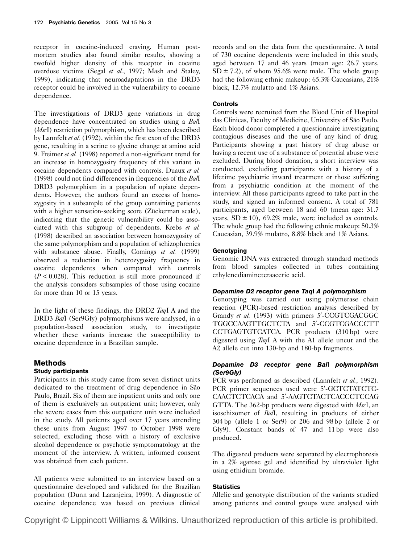receptor in cocaine-induced craving. Human postmortem studies also found similar results, showing a twofold higher density of this receptor in cocaine overdose victims (Segal et al., 1997; Mash and Staley, 1999), indicating that neuroadaptations in the DRD3 receptor could be involved in the vulnerability to cocaine dependence.

The investigations of DRD3 gene variations in drug dependence have concentrated on studies using a Ball  $(M\text{st})$  restriction polymorphism, which has been described by Lannfelt et al. (1992), within the first exon of the DRD3 gene, resulting in a serine to glycine change at amino acid 9. Freimer et al. (1998) reported a non-significant trend for an increase in homozygosity frequency of this variant in cocaine dependents compared with controls. Duaux et al. (1998) could not find differences in frequencies of the  $Ba/I$ DRD3 polymorphism in a population of opiate dependents. However, the authors found an excess of homozygosity in a subsample of the group containing patients with a higher sensation-seeking score (Zückerman scale), indicating that the genetic vulnerability could be associated with this subgroup of dependents. Krebs et al. (1998) described an association between homozygosity of the same polymorphism and a population of schizophrenics with substance abuse. Finally, Comings et al. (1999) observed a reduction in heterozygosity frequency in cocaine dependents when compared with controls  $(P < 0.028)$ . This reduction is still more pronounced if the analysis considers subsamples of those using cocaine for more than 10 or 15 years.

In the light of these findings, the DRD2 TaqI A and the DRD3 BalI (Ser9Gly) polymorphisms were analysed, in a population-based association study, to investigate whether these variants increase the susceptibility to cocaine dependence in a Brazilian sample.

#### **Methods** Study participants

Participants in this study came from seven distinct units dedicated to the treatment of drug dependence in São Paulo, Brazil. Six of them are inpatient units and only one of them is exclusively an outpatient unit; however, only the severe cases from this outpatient unit were included in the study. All patients aged over 17 years attending these units from August 1997 to October 1998 were selected, excluding those with a history of exclusive alcohol dependence or psychotic symptomatology at the moment of the interview. A written, informed consent was obtained from each patient.

All patients were submitted to an interview based on a questionnaire developed and validated for the Brazilian population (Dunn and Laranjeira, 1999). A diagnostic of cocaine dependence was based on previous clinical records and on the data from the questionnaire. A total of 730 cocaine dependents were included in this study, aged between 17 and 46 years (mean age: 26.7 years,  $SD \pm 7.2$ , of whom 95.6% were male. The whole group had the following ethnic makeup: 65.3% Caucasians, 21% black, 12.7% mulatto and 1% Asians.

### Controls

Controls were recruited from the Blood Unit of Hospital das Clinicas, Faculty of Medicine, University of São Paulo. Each blood donor completed a questionnaire investigating contagious diseases and the use of any kind of drug. Participants showing a past history of drug abuse or having a recent use of a substance of potential abuse were excluded. During blood donation, a short interview was conducted, excluding participants with a history of a lifetime psychiatric inward treatment or those suffering from a psychiatric condition at the moment of the interview. All these participants agreed to take part in the study, and signed an informed consent. A total of 781 participants, aged between 18 and 60 (mean age: 31.7 years,  $SD \pm 10$ , 69.2% male, were included as controls. The whole group had the following ethnic makeup: 50.3% Caucasian, 39.9% mulatto, 8.8% black and 1% Asians.

# **Genotyping**

Genomic DNA was extracted through standard methods from blood samples collected in tubes containing ethylenediamineteraacetic acid.

# Dopamine D2 receptor gene TaqI A polymorphism

Genotyping was carried out using polymerase chain reaction (PCR)-based restriction analysis described by Grandy et al. (1993) with primers 5'-CCGTCGACGGC TGGCCAAGTTGCTCTA and 5'-CCGTCGACCCTT CCTGAGTGTCATCA. PCR products (310 bp) were digested using TaqI A with the A1 allele uncut and the A2 allele cut into 130-bp and 180-bp fragments.

# Dopamine D3 receptor gene BalI polymorphism (Ser9Gly)

PCR was performed as described (Lannfelt et al., 1992). PCR primer sequences used were 5'-GCTCTATCTC-CAACTCTCACA and 5'-AAGTCTACTCACCCTCCAG GTTA. The 362-bp products were digested with  $MscI$ , an isoschizomer of BalI, resulting in products of either 304 bp (allele 1 or Ser9) or 206 and 98 bp (allele 2 or Gly9). Constant bands of 47 and 11 bp were also produced.

The digested products were separated by electrophoresis in a 2% agarose gel and identified by ultraviolet light using ethidium bromide.

# **Statistics**

Allelic and genotypic distribution of the variants studied among patients and control groups were analysed with

Copyright © Lippincott Williams & Wilkins. Unauthorized reproduction of this article is prohibited.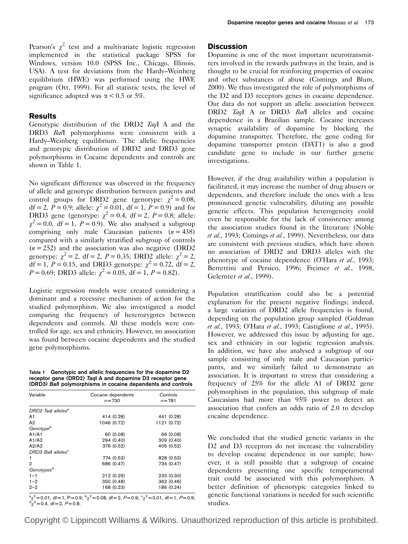Pearson's  $\chi^2$  test and a multivariate logistic regression implemented in the statistical package SPSS for Windows, version 10.0 (SPSS Inc., Chicago, Illinois, USA). A test for deviations from the Hardy–Weinberg equilibrium (HWE) was performed using the HWE program (Ott, 1999). For all statistic tests, the level of significance adopted was  $\alpha$  < 0.5 or 5%.

#### Results

Genotypic distribution of the DRD2 TaqI A and the DRD3 Ball polymorphisms were consistent with a Hardy–Weinberg equilibrium. The allelic frequencies and genotypic distribution of DRD2 and DRD3 gene polymorphisms in Cocaine dependents and controls are shown in Table 1.

No significant difference was observed in the frequency of allele and genotype distribution between patients and control groups for DRD2 gene (genotype:  $\chi^2 = 0.08$ , df = 2,  $P = 0.9$ ; allele:  $\chi^2 = 0.01$ , df = 1,  $P = 0.9$ ) and for DRD3 gene (genotype:  $\chi^2 = 0.4$ , df = 2, P = 0.8; allele:  $\chi^2 = 0.0$ , df = 1, P = 0.9). We also analysed a subgroup comprising only male Caucasian patients  $(n = 438)$ compared with a similarly stratified subgroup of controls  $(n = 252)$  and the association was also negative (DRD2) genotype:  $\gamma^2 = 2$ , df = 2, P = 0.35; DRD2 allele:  $\gamma^2 = 2$ , df = 1, P = 0.15, and DRD3 genotype:  $\chi^2 = 0.72$ , df = 2,  $P = 0.69$ ; DRD3 allele:  $\chi^2 = 0.05$ , df = 1,  $P = 0.82$ ).

Logistic regression models were created considering a dominant and a recessive mechanism of action for the studied polymorphism. We also investigated a model comparing the frequency of heterozygotes between dependents and controls. All these models were controlled for age, sex and ethnicity. However, no association was found between cocaine dependents and the studied gene polymorphisms.

Table 1 Genotypic and allelic frequencies for the dopamine D2 receptor gene (DRD2) TaqI A and dopamine D3 receptor gene (DRD3) BalI polymorphisms in cocaine dependents and controls

| Variable                       | Cocaine dependents<br>$n = 730$ | Controls<br>$n = 781$ |  |
|--------------------------------|---------------------------------|-----------------------|--|
| DRD2 Tagl alleles <sup>a</sup> |                                 |                       |  |
| A1                             | 414 (0.28)                      | 441 (0.28)            |  |
| A <sub>2</sub>                 | 1046 (0.72)                     | 1121 (0.72)           |  |
| Genotype <sup>b</sup>          |                                 |                       |  |
| A1/A1                          | 60 (0.08)                       | 66 (0.08)             |  |
| A1/A2                          | 294 (0.40)                      | 309 (0.40)            |  |
| A2/A2                          | 376 (0.52)                      | 406 (0.52)            |  |
| DRD3 Ball alleles <sup>c</sup> |                                 |                       |  |
| 1                              | 774 (0.53)                      | 828 (0.53)            |  |
| $\overline{2}$                 | 686 (0.47)                      | 734 (0.47)            |  |
| Genotypes <sup>d</sup>         |                                 |                       |  |
| $1 - 1$                        | 212 (0.29)                      | 233 (0.30)            |  |
| $1 - 2$                        | 350 (0.48)                      | 362 (0.46)            |  |
| $2 - 2$                        | 168 (0.23)                      | 186 (0.24)            |  |
|                                |                                 |                       |  |

 $a_{\chi^2} = 0.01$ , df = 1, P = 0.9;  $b_{\chi^2} = 0.08$ , df = 2, P = 0.9;  $c_{\chi^2} = 0.01$ , df = 1, P = 0.9;<br> $a_{\chi^2} = 0.4$ , df = 0, P = 0.9  $\int_{0}^{d} \gamma^2 = 0.4$ , df = 2, P = 0.8.

#### **Discussion**

Dopamine is one of the most important neurotransmitters involved in the rewards pathways in the brain, and is thought to be crucial for reinforcing properties of cocaine and other substances of abuse (Comings and Blum, 2000). We thus investigated the role of polymorphisms of the D2 and D3 receptors genes in cocaine dependence. Our data do not support an allelic association between DRD2 TaqI A or DRD3 Ball alleles and cocaine dependence in a Brazilian sample. Cocaine increases synaptic availability of dopamine by blocking the dopamine transporter. Therefore, the gene coding for dopamine transporter protein (DAT1) is also a good candidate gene to include in our further genetic investigations.

However, if the drug availability within a population is facilitated, it may increase the number of drug abusers or dependents, and therefore include the ones with a less pronounced genetic vulnerability, diluting any possible genetic effects. This population heterogeneity could even be responsible for the lack of consistency among the association studies found in the literature (Noble et al., 1993; Comings et al., 1999). Nevertheless, our data are consistent with previous studies, which have shown no association of DRD2 and DRD3 alleles with the phenotype of cocaine dependence (O'Hara et al., 1993; Berrettini and Persico, 1996; Freimer et al., 1998, Gelernter et al., 1999).

Population stratification could also be a potential explanation for the present negative findings; indeed, a large variation of DRD2 allele frequencies is found, depending on the population group sampled (Goldman et al., 1993; O'Hara et al., 1993; Castiglione et al., 1995). However, we addressed this issue by adjusting for age, sex and ethnicity in our logistic regression analysis. In addition, we have also analysed a subgroup of our sample consisting of only male and Caucasian participants, and we similarly failed to demonstrate an association. It is important to stress that considering a frequency of 25% for the allele A1 of DRD2 gene polymorphism in the population, this subgroup of male Caucasians had more than 95% power to detect an association that confers an odds ratio of 2.0 to develop cocaine dependence.

We concluded that the studied genetic variants in the D<sub>2</sub> and D<sub>3</sub> receptors do not increase the vulnerability to develop cocaine dependence in our sample; however, it is still possible that a subgroup of cocaine dependents presenting one specific temperamental trait could be associated with this polymorphism. A better definition of phenotypic categories linked to genetic functional variations is needed for such scientific studies.

Copyright © Lippincott Williams & Wilkins. Unauthorized reproduction of this article is prohibited.